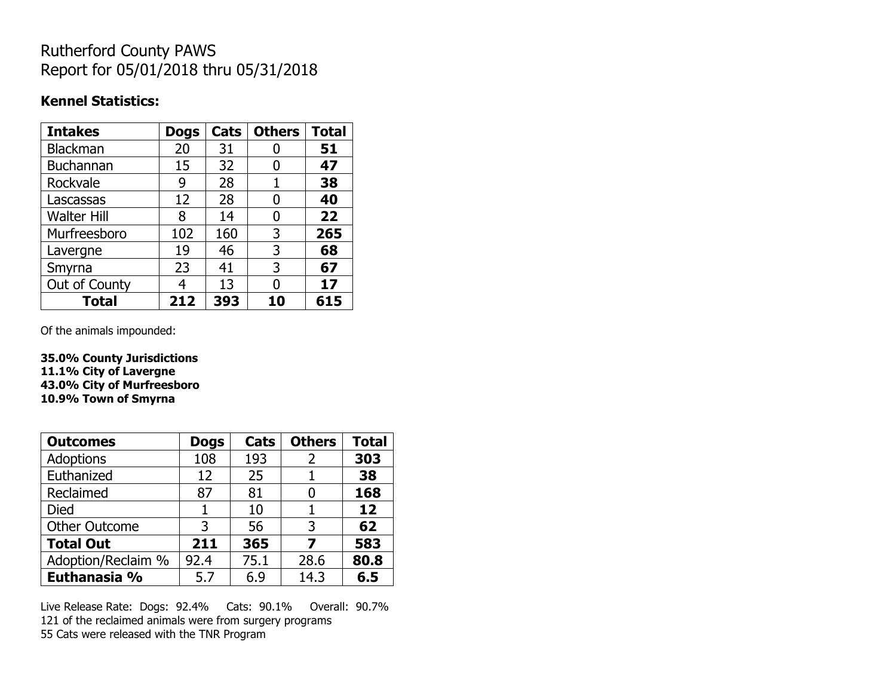## Rutherford County PAWS Report for 05/01/2018 thru 05/31/2018

## **Kennel Statistics:**

| <b>Intakes</b>     | <b>Dogs</b> | Cats | <b>Others</b> | <b>Total</b> |
|--------------------|-------------|------|---------------|--------------|
| Blackman           | 20          | 31   |               | 51           |
| <b>Buchannan</b>   | 15          | 32   | 0             | 47           |
| Rockvale           | 9           | 28   |               | 38           |
| Lascassas          | 12          | 28   | 0             | 40           |
| <b>Walter Hill</b> | 8           | 14   | 0             | 22           |
| Murfreesboro       | 102         | 160  | 3             | 265          |
| Lavergne           | 19          | 46   | 3             | 68           |
| Smyrna             | 23          | 41   | 3             | 67           |
| Out of County      | 4           | 13   | N             | 17           |
| <b>Total</b>       | 212         | 393  | 10            | 615          |

Of the animals impounded:

**35.0% County Jurisdictions 11.1% City of Lavergne 43.0% City of Murfreesboro 10.9% Town of Smyrna**

| <b>Outcomes</b>      | <b>Dogs</b> | Cats | <b>Others</b> | <b>Total</b> |
|----------------------|-------------|------|---------------|--------------|
| Adoptions            | 108         | 193  | 2             | 303          |
| Euthanized           | 12          | 25   |               | 38           |
| Reclaimed            | 87          | 81   |               | 168          |
| Died                 |             | 10   |               | 12           |
| <b>Other Outcome</b> | 3           | 56   | 3             | 62           |
| <b>Total Out</b>     | 211         | 365  |               | 583          |
| Adoption/Reclaim %   | 92.4        | 75.1 | 28.6          | 80.8         |
| Euthanasia %         | 5.7         | 6.9  | 14.3          | 6.5          |

Live Release Rate: Dogs: 92.4% Cats: 90.1% Overall: 90.7% 121 of the reclaimed animals were from surgery programs 55 Cats were released with the TNR Program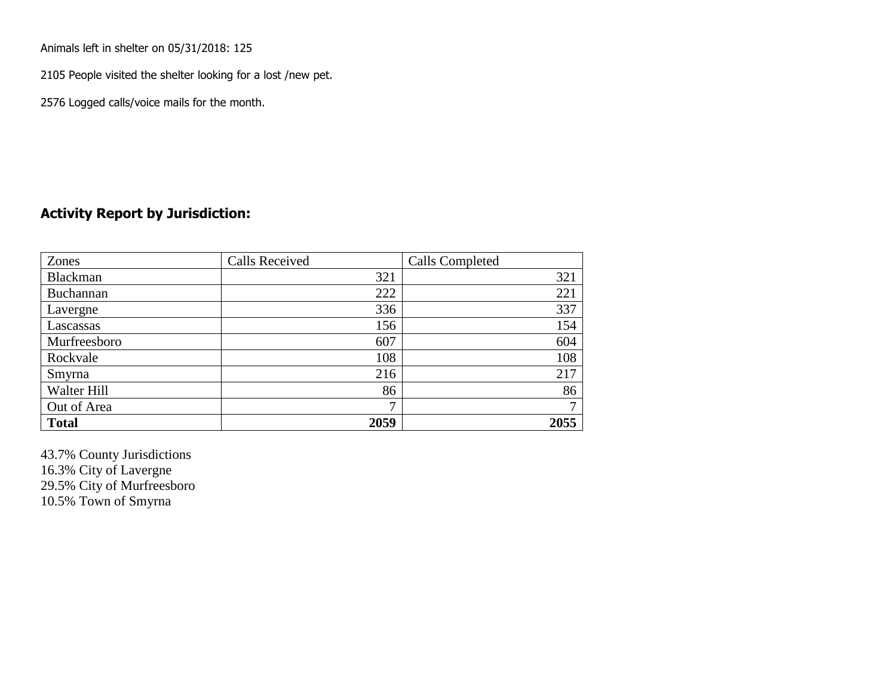Animals left in shelter on 05/31/2018: 125

2105 People visited the shelter looking for a lost /new pet.

2576 Logged calls/voice mails for the month.

## **Activity Report by Jurisdiction:**

| Zones           | <b>Calls Received</b> | Calls Completed |
|-----------------|-----------------------|-----------------|
| <b>Blackman</b> | 321                   | 321             |
| Buchannan       | 222                   | 221             |
| Lavergne        | 336                   | 337             |
| Lascassas       | 156                   | 154             |
| Murfreesboro    | 607                   | 604             |
| Rockvale        | 108                   | 108             |
| Smyrna          | 216                   | 217             |
| Walter Hill     | 86                    | 86              |
| Out of Area     | 7                     | ⇁               |
| <b>Total</b>    | 2059                  | 2055            |

43.7% County Jurisdictions 16.3% City of Lavergne 29.5% City of Murfreesboro 10.5% Town of Smyrna